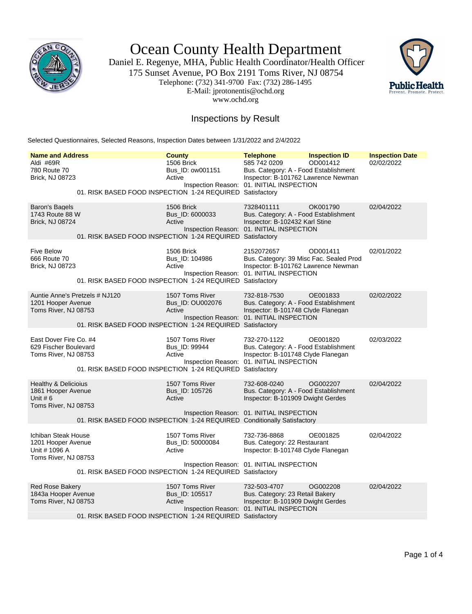

Ocean County Health Department

Daniel E. Regenye, MHA, Public Health Coordinator/Health Officer 175 Sunset Avenue, PO Box 2191 Toms River, NJ 08754 Telephone: (732) 341-9700 Fax: (732) 286-1495 E-Mail: jprotonentis@ochd.org www.ochd.org



## Inspections by Result

Selected Questionnaires, Selected Reasons, Inspection Dates between 1/31/2022 and 2/4/2022

| <b>Name and Address</b>                                                                  |                                                                         | <b>County</b>                                 | <b>Telephone</b>                                                                                                                          | <b>Inspection ID</b> | <b>Inspection Date</b> |
|------------------------------------------------------------------------------------------|-------------------------------------------------------------------------|-----------------------------------------------|-------------------------------------------------------------------------------------------------------------------------------------------|----------------------|------------------------|
| Aldi #69R<br>780 Route 70<br>Brick, NJ 08723                                             | 01. RISK BASED FOOD INSPECTION 1-24 REQUIRED Satisfactory               | 1506 Brick<br>Bus ID: ow001151<br>Active      | 585 742 0209<br>Bus. Category: A - Food Establishment<br>Inspector: B-101762 Lawrence Newman<br>Inspection Reason: 01. INITIAL INSPECTION | OD001412             | 02/02/2022             |
| Baron's Bagels<br>1743 Route 88 W<br><b>Brick, NJ 08724</b>                              | 01. RISK BASED FOOD INSPECTION 1-24 REQUIRED Satisfactory               | 1506 Brick<br>Bus_ID: 6000033<br>Active       | 7328401111<br>Bus. Category: A - Food Establishment<br>Inspector: B-102432 Karl Stine<br>Inspection Reason: 01. INITIAL INSPECTION        | OK001790             | 02/04/2022             |
| <b>Five Below</b><br>666 Route 70<br>Brick, NJ 08723                                     | 01. RISK BASED FOOD INSPECTION 1-24 REQUIRED Satisfactory               | 1506 Brick<br>Bus_ID: 104986<br>Active        | 2152072657<br>Bus. Category: 39 Misc Fac. Sealed Prod<br>Inspector: B-101762 Lawrence Newman<br>Inspection Reason: 01. INITIAL INSPECTION | OD001411             | 02/01/2022             |
| Auntie Anne's Pretzels # NJ120<br>1201 Hooper Avenue<br>Toms River, NJ 08753             | 01. RISK BASED FOOD INSPECTION 1-24 REQUIRED Satisfactory               | 1507 Toms River<br>Bus_ID: OU002076<br>Active | 732-818-7530<br>Bus. Category: A - Food Establishment<br>Inspector: B-101748 Clyde Flanegan<br>Inspection Reason: 01. INITIAL INSPECTION  | OE001833             | 02/02/2022             |
| East Dover Fire Co. #4<br>629 Fischer Boulevard<br>Toms River, NJ 08753                  | 01. RISK BASED FOOD INSPECTION 1-24 REQUIRED Satisfactory               | 1507 Toms River<br>Bus_ID: 99944<br>Active    | 732-270-1122<br>Bus. Category: A - Food Establishment<br>Inspector: B-101748 Clyde Flanegan<br>Inspection Reason: 01. INITIAL INSPECTION  | OE001820             | 02/03/2022             |
| <b>Healthy &amp; Delicioius</b><br>1861 Hooper Avenue<br>Unit #6<br>Toms River, NJ 08753 | 01. RISK BASED FOOD INSPECTION 1-24 REQUIRED Conditionally Satisfactory | 1507 Toms River<br>Bus ID: 105726<br>Active   | 732-608-0240<br>Bus. Category: A - Food Establishment<br>Inspector: B-101909 Dwight Gerdes<br>Inspection Reason: 01. INITIAL INSPECTION   | OG002207             | 02/04/2022             |
| Ichiban Steak House<br>1201 Hooper Avenue<br>Unit # 1096 A<br>Toms River, NJ 08753       | 01. RISK BASED FOOD INSPECTION 1-24 REQUIRED Satisfactory               | 1507 Toms River<br>Bus_ID: 50000084<br>Active | 732-736-8868<br>Bus. Category: 22 Restaurant<br>Inspector: B-101748 Clyde Flanegan<br>Inspection Reason: 01. INITIAL INSPECTION           | OE001825             | 02/04/2022             |
| <b>Red Rose Bakery</b><br>1843a Hooper Avenue<br>Toms River, NJ 08753                    | 01. RISK BASED FOOD INSPECTION 1-24 REQUIRED Satisfactory               | 1507 Toms River<br>Bus_ID: 105517<br>Active   | 732-503-4707<br>Bus. Category: 23 Retail Bakery<br>Inspector: B-101909 Dwight Gerdes<br>Inspection Reason: 01. INITIAL INSPECTION         | OG002208             | 02/04/2022             |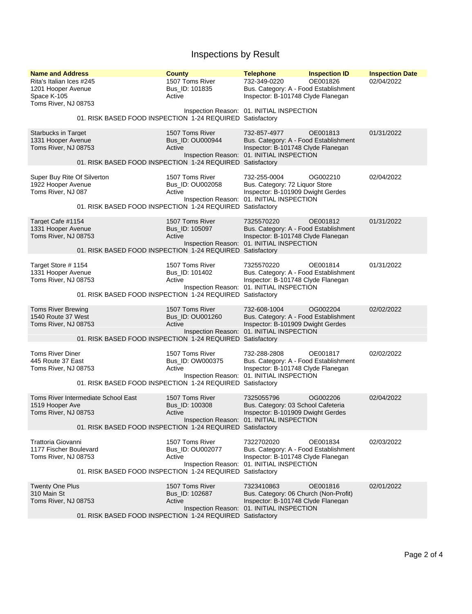## Inspections by Result

| <b>Name and Address</b><br>Rita's Italian Ices #245<br>1201 Hooper Avenue<br>Space K-105<br>Toms River, NJ 08753                            | <b>County</b><br>1507 Toms River<br>Bus ID: 101835<br>Active | <b>Telephone</b><br>732-349-0220<br>Bus. Category: A - Food Establishment<br>Inspector: B-101748 Clyde Flanegan<br>Inspection Reason: 01. INITIAL INSPECTION | <b>Inspection ID</b><br>OE001826 | <b>Inspection Date</b><br>02/04/2022 |
|---------------------------------------------------------------------------------------------------------------------------------------------|--------------------------------------------------------------|--------------------------------------------------------------------------------------------------------------------------------------------------------------|----------------------------------|--------------------------------------|
| 01. RISK BASED FOOD INSPECTION 1-24 REQUIRED Satisfactory                                                                                   |                                                              |                                                                                                                                                              |                                  |                                      |
| <b>Starbucks in Target</b><br>1331 Hooper Avenue<br>Toms River, NJ 08753<br>01. RISK BASED FOOD INSPECTION 1-24 REQUIRED Satisfactory       | 1507 Toms River<br>Bus_ID: OU000944<br>Active                | 732-857-4977<br>Bus. Category: A - Food Establishment<br>Inspector: B-101748 Clyde Flanegan<br>Inspection Reason: 01. INITIAL INSPECTION                     | OE001813                         | 01/31/2022                           |
| Super Buy Rite Of Silverton<br>1922 Hooper Avenue<br>Toms River, NJ 087<br>01. RISK BASED FOOD INSPECTION 1-24 REQUIRED Satisfactory        | 1507 Toms River<br>Bus_ID: OU002058<br>Active                | 732-255-0004<br>Bus. Category: 72 Liquor Store<br>Inspector: B-101909 Dwight Gerdes<br>Inspection Reason: 01. INITIAL INSPECTION                             | OG002210                         | 02/04/2022                           |
| Target Cafe #1154<br>1331 Hooper Avenue<br>Toms River, NJ 08753<br>01. RISK BASED FOOD INSPECTION 1-24 REQUIRED Satisfactory                | 1507 Toms River<br>Bus_ID: 105097<br>Active                  | 7325570220<br>Bus. Category: A - Food Establishment<br>Inspector: B-101748 Clyde Flanegan<br>Inspection Reason: 01. INITIAL INSPECTION                       | OE001812                         | 01/31/2022                           |
| Target Store #1154<br>1331 Hooper Avenue<br>Toms River, NJ 08753<br>01. RISK BASED FOOD INSPECTION 1-24 REQUIRED Satisfactory               | 1507 Toms River<br>Bus_ID: 101402<br>Active                  | 7325570220<br>Bus. Category: A - Food Establishment<br>Inspector: B-101748 Clyde Flanegan<br>Inspection Reason: 01. INITIAL INSPECTION                       | OE001814                         | 01/31/2022                           |
| <b>Toms River Brewing</b><br>1540 Route 37 West<br>Toms River, NJ 08753<br>01. RISK BASED FOOD INSPECTION 1-24 REQUIRED Satisfactory        | 1507 Toms River<br>Bus_ID: OU001260<br>Active                | 732-608-1004<br>Bus. Category: A - Food Establishment<br>Inspector: B-101909 Dwight Gerdes<br>Inspection Reason: 01. INITIAL INSPECTION                      | OG002204                         | 02/02/2022                           |
| <b>Toms River Diner</b><br>445 Route 37 East<br>Toms River, NJ 08753<br>01. RISK BASED FOOD INSPECTION 1-24 REQUIRED                        | 1507 Toms River<br>Bus_ID: OW000375<br>Active                | 732-288-2808<br>Bus. Category: A - Food Establishment<br>Inspector: B-101748 Clyde Flanegan<br>Inspection Reason: 01. INITIAL INSPECTION<br>Satisfactory     | OE001817                         | 02/02/2022                           |
| Toms River Intermediate School East<br>1519 Hooper Ave<br>Toms River, NJ 08753<br>01. RISK BASED FOOD INSPECTION 1-24 REQUIRED Satisfactory | 1507 Toms River<br>Bus_ID: 100308<br>Active                  | 7325055796<br>Bus. Category: 03 School Cafeteria<br>Inspector: B-101909 Dwight Gerdes<br>Inspection Reason: 01. INITIAL INSPECTION                           | OG002206                         | 02/04/2022                           |
| Trattoria Giovanni<br>1177 Fischer Boulevard<br>Toms River, NJ 08753<br>01. RISK BASED FOOD INSPECTION 1-24 REQUIRED Satisfactory           | 1507 Toms River<br>Bus_ID: OU002077<br>Active                | 7322702020<br>Bus. Category: A - Food Establishment<br>Inspector: B-101748 Clyde Flanegan<br>Inspection Reason: 01. INITIAL INSPECTION                       | OE001834                         | 02/03/2022                           |
| <b>Twenty One Plus</b><br>310 Main St<br>Toms River, NJ 08753<br>01. RISK BASED FOOD INSPECTION 1-24 REQUIRED Satisfactory                  | 1507 Toms River<br>Bus_ID: 102687<br>Active                  | 7323410863<br>Bus. Category: 06 Church (Non-Profit)<br>Inspector: B-101748 Clyde Flanegan<br>Inspection Reason: 01. INITIAL INSPECTION                       | OE001816                         | 02/01/2022                           |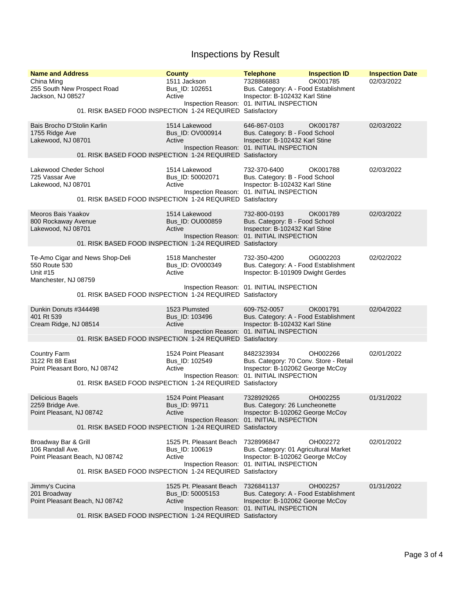## Inspections by Result

| <b>Name and Address</b><br>China Ming<br>255 South New Prospect Road<br>Jackson, NJ 08527 |  | <b>County</b><br>1511 Jackson<br>Bus ID: 102651<br>Active                                                          | <b>Telephone</b><br>7328866883<br>Bus. Category: A - Food Establishment<br>Inspector: B-102432 Karl Stine<br>Inspection Reason: 01. INITIAL INSPECTION | <b>Inspection ID</b><br>OK001785 | <b>Inspection Date</b><br>02/03/2022 |
|-------------------------------------------------------------------------------------------|--|--------------------------------------------------------------------------------------------------------------------|--------------------------------------------------------------------------------------------------------------------------------------------------------|----------------------------------|--------------------------------------|
|                                                                                           |  | 01. RISK BASED FOOD INSPECTION 1-24 REQUIRED Satisfactory                                                          |                                                                                                                                                        |                                  |                                      |
| Bais Brocho D'Stolin Karlin<br>1755 Ridge Ave<br>Lakewood, NJ 08701                       |  | 1514 Lakewood<br>Bus_ID: OV000914<br>Active                                                                        | 646-867-0103<br>Bus. Category: B - Food School<br>Inspector: B-102432 Karl Stine<br>Inspection Reason: 01. INITIAL INSPECTION                          | OK001787                         | 02/03/2022                           |
| 01. RISK BASED FOOD INSPECTION 1-24 REQUIRED Satisfactory                                 |  |                                                                                                                    |                                                                                                                                                        |                                  |                                      |
| Lakewood Cheder School<br>725 Vassar Ave<br>Lakewood, NJ 08701                            |  | 1514 Lakewood<br>Bus_ID: 50002071<br>Active<br>01. RISK BASED FOOD INSPECTION 1-24 REQUIRED                        | 732-370-6400<br>Bus. Category: B - Food School<br>Inspector: B-102432 Karl Stine<br>Inspection Reason: 01. INITIAL INSPECTION<br>Satisfactory          | OK001788                         | 02/03/2022                           |
| Meoros Bais Yaakov<br>800 Rockaway Avenue<br>Lakewood, NJ 08701                           |  | 1514 Lakewood<br>Bus_ID: OU000859<br>Active<br>01. RISK BASED FOOD INSPECTION 1-24 REQUIRED Satisfactory           | 732-800-0193<br>Bus. Category: B - Food School<br>Inspector: B-102432 Karl Stine<br>Inspection Reason: 01. INITIAL INSPECTION                          | OK001789                         | 02/03/2022                           |
| Te-Amo Cigar and News Shop-Deli<br>550 Route 530<br>Unit #15<br>Manchester, NJ 08759      |  | 1518 Manchester<br>Bus_ID: OV000349<br>Active                                                                      | 732-350-4200<br>Bus. Category: A - Food Establishment<br>Inspector: B-101909 Dwight Gerdes                                                             | OG002203                         | 02/02/2022                           |
|                                                                                           |  | 01. RISK BASED FOOD INSPECTION 1-24 REQUIRED Satisfactory                                                          | Inspection Reason: 01. INITIAL INSPECTION                                                                                                              |                                  |                                      |
| Dunkin Donuts #344498<br>401 Rt 539<br>Cream Ridge, NJ 08514                              |  | 1523 Plumsted<br>Bus_ID: 103496<br>Active<br>01. RISK BASED FOOD INSPECTION 1-24 REQUIRED Satisfactory             | 609-752-0057<br>Bus. Category: A - Food Establishment<br>Inspector: B-102432 Karl Stine<br>Inspection Reason: 01. INITIAL INSPECTION                   | OK001791                         | 02/04/2022                           |
| <b>Country Farm</b><br>3122 Rt 88 East<br>Point Pleasant Boro, NJ 08742                   |  | 1524 Point Pleasant<br>Bus_ID: 102549<br>Active<br>01. RISK BASED FOOD INSPECTION 1-24 REQUIRED Satisfactory       | 8482323934<br>Bus. Category: 70 Conv. Store - Retail<br>Inspector: B-102062 George McCoy<br>Inspection Reason: 01. INITIAL INSPECTION                  | OH002266                         | 02/01/2022                           |
| <b>Delicious Bagels</b><br>2259 Bridge Ave.<br>Point Pleasant, NJ 08742                   |  | 1524 Point Pleasant<br>Bus_ID: 99711<br>Active<br>01. RISK BASED FOOD INSPECTION 1-24 REQUIRED Satisfactory        | 7328929265<br>Bus. Category: 26 Luncheonette<br>Inspector: B-102062 George McCoy<br>Inspection Reason: 01. INITIAL INSPECTION                          | OH002255                         | 01/31/2022                           |
| Broadway Bar & Grill<br>106 Randall Ave.<br>Point Pleasant Beach, NJ 08742                |  | 1525 Pt. Pleasant Beach<br>Bus_ID: 100619<br>Active<br>01. RISK BASED FOOD INSPECTION 1-24 REQUIRED Satisfactory   | 7328996847<br>Bus. Category: 01 Agricultural Market<br>Inspector: B-102062 George McCoy<br>Inspection Reason: 01. INITIAL INSPECTION                   | OH002272                         | 02/01/2022                           |
| Jimmy's Cucina<br>201 Broadway<br>Point Pleasant Beach, NJ 08742                          |  | 1525 Pt. Pleasant Beach<br>Bus_ID: 50005153<br>Active<br>01. RISK BASED FOOD INSPECTION 1-24 REQUIRED Satisfactory | 7326841137<br>Bus. Category: A - Food Establishment<br>Inspector: B-102062 George McCoy<br>Inspection Reason: 01. INITIAL INSPECTION                   | OH002257                         | 01/31/2022                           |